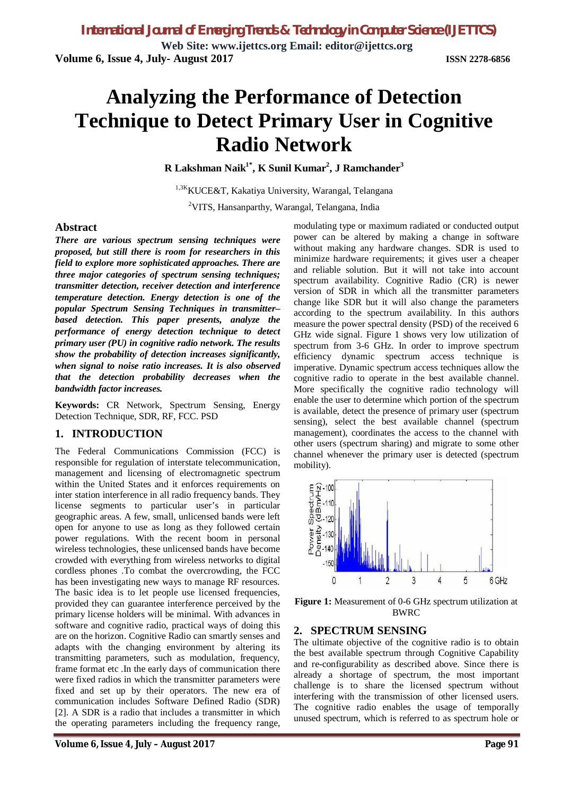**Web Site: www.ijettcs.org Email: editor@ijettcs.org Volume 6, Issue 4, July- August 2017 ISSN 2278-6856**

# **Analyzing the Performance of Detection Technique to Detect Primary User in Cognitive Radio Network**

**R Lakshman Naik1\* , K Sunil Kumar<sup>2</sup> , J Ramchander<sup>3</sup>**

<sup>1,3K</sup>KUCE&T, Kakatiya University, Warangal, Telangana <sup>2</sup>VITS, Hansanparthy, Warangal, Telangana, India

#### **Abstract**

*There are various spectrum sensing techniques were proposed, but still there is room for researchers in this field to explore more sophisticated approaches. There are three major categories of spectrum sensing techniques; transmitter detection, receiver detection and interference temperature detection. Energy detection is one of the popular Spectrum Sensing Techniques in transmitter– based detection. This paper presents, analyze the performance of energy detection technique to detect primary user (PU) in cognitive radio network. The results show the probability of detection increases significantly, when signal to noise ratio increases. It is also observed that the detection probability decreases when the bandwidth factor increases.*

**Keywords:** CR Network, Spectrum Sensing, Energy Detection Technique, SDR, RF, FCC. PSD

### **1. INTRODUCTION**

The Federal Communications Commission (FCC) is responsible for regulation of interstate telecommunication, management and licensing of electromagnetic spectrum within the United States and it enforces requirements on inter station interference in all radio frequency bands. They license segments to particular user's in particular geographic areas. A few, small, unlicensed bands were left open for anyone to use as long as they followed certain power regulations. With the recent boom in personal wireless technologies, these unlicensed bands have become crowded with everything from wireless networks to digital cordless phones .To combat the overcrowding, the FCC has been investigating new ways to manage RF resources. The basic idea is to let people use licensed frequencies, provided they can guarantee interference perceived by the primary license holders will be minimal. With advances in software and cognitive radio, practical ways of doing this are on the horizon. Cognitive Radio can smartly senses and adapts with the changing environment by altering its transmitting parameters, such as modulation, frequency, frame format etc .In the early days of communication there were fixed radios in which the transmitter parameters were fixed and set up by their operators. The new era of communication includes Software Defined Radio (SDR) [2]. A SDR is a radio that includes a transmitter in which the operating parameters including the frequency range,

modulating type or maximum radiated or conducted output power can be altered by making a change in software without making any hardware changes. SDR is used to minimize hardware requirements; it gives user a cheaper and reliable solution. But it will not take into account spectrum availability. Cognitive Radio (CR) is newer version of SDR in which all the transmitter parameters change like SDR but it will also change the parameters according to the spectrum availability. In this authors measure the power spectral density (PSD) of the received 6 GHz wide signal. Figure 1 shows very low utilization of spectrum from 3-6 GHz. In order to improve spectrum efficiency dynamic spectrum access technique is imperative. Dynamic spectrum access techniques allow the cognitive radio to operate in the best available channel. More specifically the cognitive radio technology will enable the user to determine which portion of the spectrum is available, detect the presence of primary user (spectrum sensing), select the best available channel (spectrum management), coordinates the access to the channel with other users (spectrum sharing) and migrate to some other channel whenever the primary user is detected (spectrum mobility).



**Figure 1:** Measurement of 0-6 GHz spectrum utilization at BWRC

### **2. SPECTRUM SENSING**

The ultimate objective of the cognitive radio is to obtain the best available spectrum through Cognitive Capability and re-configurability as described above. Since there is already a shortage of spectrum, the most important challenge is to share the licensed spectrum without interfering with the transmission of other licensed users. The cognitive radio enables the usage of temporally unused spectrum, which is referred to as spectrum hole or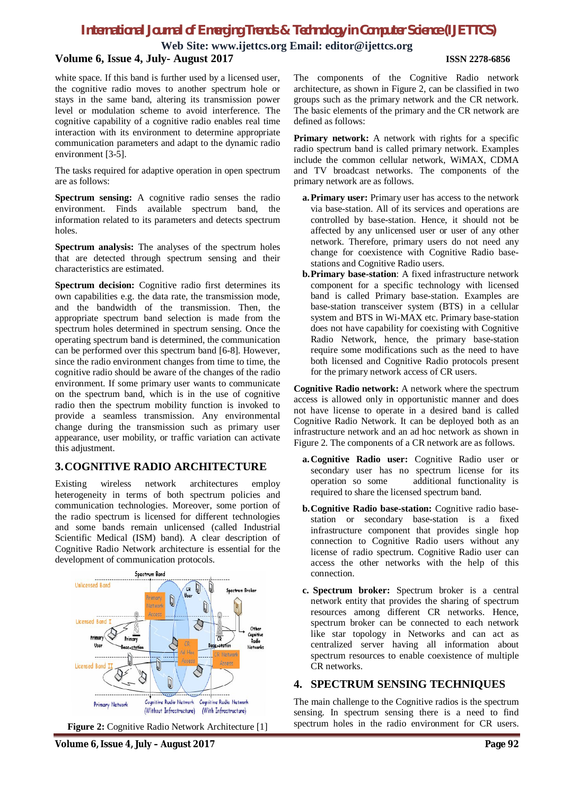**Web Site: www.ijettcs.org Email: editor@ijettcs.org**

#### **Volume 6, Issue 4, July- August 2017 ISSN 2278-6856**

white space. If this band is further used by a licensed user, the cognitive radio moves to another spectrum hole or stays in the same band, altering its transmission power level or modulation scheme to avoid interference. The cognitive capability of a cognitive radio enables real time interaction with its environment to determine appropriate communication parameters and adapt to the dynamic radio environment [3-5].

The tasks required for adaptive operation in open spectrum are as follows:

**Spectrum sensing:** A cognitive radio senses the radio environment. Finds available spectrum band, the information related to its parameters and detects spectrum holes.

**Spectrum analysis:** The analyses of the spectrum holes that are detected through spectrum sensing and their characteristics are estimated.

**Spectrum decision:** Cognitive radio first determines its own capabilities e.g. the data rate, the transmission mode, and the bandwidth of the transmission. Then, the appropriate spectrum band selection is made from the spectrum holes determined in spectrum sensing. Once the operating spectrum band is determined, the communication can be performed over this spectrum band [6-8]. However, since the radio environment changes from time to time, the cognitive radio should be aware of the changes of the radio environment. If some primary user wants to communicate on the spectrum band, which is in the use of cognitive radio then the spectrum mobility function is invoked to provide a seamless transmission. Any environmental change during the transmission such as primary user appearance, user mobility, or traffic variation can activate this adjustment.

### **3.COGNITIVE RADIO ARCHITECTURE**

Existing wireless network architectures employ heterogeneity in terms of both spectrum policies and communication technologies. Moreover, some portion of the radio spectrum is licensed for different technologies and some bands remain unlicensed (called Industrial Scientific Medical (ISM) band). A clear description of Cognitive Radio Network architecture is essential for the development of communication protocols.



**Figure 2:** Cognitive Radio Network Architecture [1]

The components of the Cognitive Radio network architecture, as shown in Figure 2, can be classified in two groups such as the primary network and the CR network. The basic elements of the primary and the CR network are defined as follows:

**Primary network:** A network with rights for a specific radio spectrum band is called primary network. Examples include the common cellular network, WiMAX, CDMA and TV broadcast networks. The components of the primary network are as follows.

- **a.Primary user:** Primary user has access to the network via base-station. All of its services and operations are controlled by base-station. Hence, it should not be affected by any unlicensed user or user of any other network. Therefore, primary users do not need any change for coexistence with Cognitive Radio basestations and Cognitive Radio users.
- **b.Primary base-station**: A fixed infrastructure network component for a specific technology with licensed band is called Primary base-station. Examples are base-station transceiver system (BTS) in a cellular system and BTS in Wi-MAX etc. Primary base-station does not have capability for coexisting with Cognitive Radio Network, hence, the primary base-station require some modifications such as the need to have both licensed and Cognitive Radio protocols present for the primary network access of CR users.

**Cognitive Radio network:** A network where the spectrum access is allowed only in opportunistic manner and does not have license to operate in a desired band is called Cognitive Radio Network. It can be deployed both as an infrastructure network and an ad hoc network as shown in Figure 2. The components of a CR network are as follows.

- **a.Cognitive Radio user:** Cognitive Radio user or secondary user has no spectrum license for its<br>operation so some additional functionality is additional functionality is required to share the licensed spectrum band.
- **b.Cognitive Radio base-station:** Cognitive radio basestation or secondary base-station is a fixed infrastructure component that provides single hop connection to Cognitive Radio users without any license of radio spectrum. Cognitive Radio user can access the other networks with the help of this connection.
- **c. Spectrum broker:** Spectrum broker is a central network entity that provides the sharing of spectrum resources among different CR networks. Hence, spectrum broker can be connected to each network like star topology in Networks and can act as centralized server having all information about spectrum resources to enable coexistence of multiple CR networks.

### **4. SPECTRUM SENSING TECHNIQUES**

The main challenge to the Cognitive radios is the spectrum sensing. In spectrum sensing there is a need to find spectrum holes in the radio environment for CR users.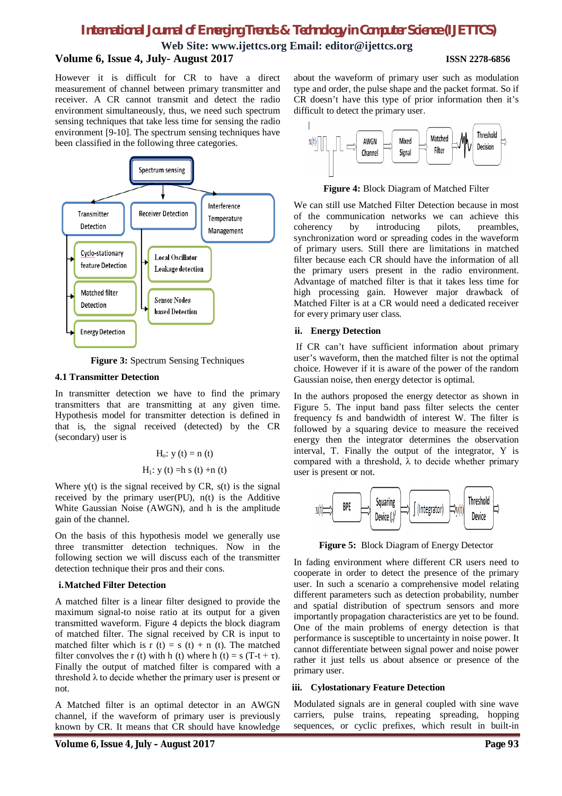**Web Site: www.ijettcs.org Email: editor@ijettcs.org Volume 6, Issue 4, July- August 2017 ISSN 2278-6856**

However it is difficult for CR to have a direct measurement of channel between primary transmitter and receiver. A CR cannot transmit and detect the radio environment simultaneously, thus, we need such spectrum sensing techniques that take less time for sensing the radio environment [9-10]. The spectrum sensing techniques have been classified in the following three categories.



**Figure 3:** Spectrum Sensing Techniques

#### **4.1 Transmitter Detection**

In transmitter detection we have to find the primary transmitters that are transmitting at any given time. Hypothesis model for transmitter detection is defined in that is, the signal received (detected) by the CR (secondary) user is

Ho: y (t) = n (t) H1: y (t) =h s (t) +n (t)

Where  $y(t)$  is the signal received by CR,  $s(t)$  is the signal received by the primary user $(PU)$ ,  $n(t)$  is the Additive White Gaussian Noise (AWGN), and h is the amplitude gain of the channel.

On the basis of this hypothesis model we generally use three transmitter detection techniques. Now in the following section we will discuss each of the transmitter detection technique their pros and their cons.

#### **i.Matched Filter Detection**

A matched filter is a linear filter designed to provide the maximum signal-to noise ratio at its output for a given transmitted waveform. Figure 4 depicts the block diagram of matched filter. The signal received by CR is input to matched filter which is r (t) = s (t) + n (t). The matched filter convolves the r (t) with h (t) where h (t) = s (T-t +  $\tau$ ). Finally the output of matched filter is compared with a threshold  $\lambda$  to decide whether the primary user is present or not.

A Matched filter is an optimal detector in an AWGN channel, if the waveform of primary user is previously known by CR. It means that CR should have knowledge

about the waveform of primary user such as modulation type and order, the pulse shape and the packet format. So if CR doesn't have this type of prior information then it's difficult to detect the primary user.



**Figure 4:** Block Diagram of Matched Filter

We can still use Matched Filter Detection because in most of the communication networks we can achieve this coherency by introducing pilots, preambles, synchronization word or spreading codes in the waveform of primary users. Still there are limitations in matched filter because each CR should have the information of all the primary users present in the radio environment. Advantage of matched filter is that it takes less time for high processing gain. However major drawback of Matched Filter is at a CR would need a dedicated receiver for every primary user class.

#### **ii. Energy Detection**

If CR can't have sufficient information about primary user's waveform, then the matched filter is not the optimal choice. However if it is aware of the power of the random Gaussian noise, then energy detector is optimal.

In the authors proposed the energy detector as shown in Figure 5. The input band pass filter selects the center frequency fs and bandwidth of interest W. The filter is followed by a squaring device to measure the received energy then the integrator determines the observation interval, T. Finally the output of the integrator, Y is compared with a threshold,  $\lambda$  to decide whether primary user is present or not.



**Figure 5:** Block Diagram of Energy Detector

In fading environment where different CR users need to cooperate in order to detect the presence of the primary user. In such a scenario a comprehensive model relating different parameters such as detection probability, number and spatial distribution of spectrum sensors and more importantly propagation characteristics are yet to be found. One of the main problems of energy detection is that performance is susceptible to uncertainty in noise power. It cannot differentiate between signal power and noise power rather it just tells us about absence or presence of the primary user.

### **iii. Cylostationary Feature Detection**

Modulated signals are in general coupled with sine wave carriers, pulse trains, repeating spreading, hopping sequences, or cyclic prefixes, which result in built-in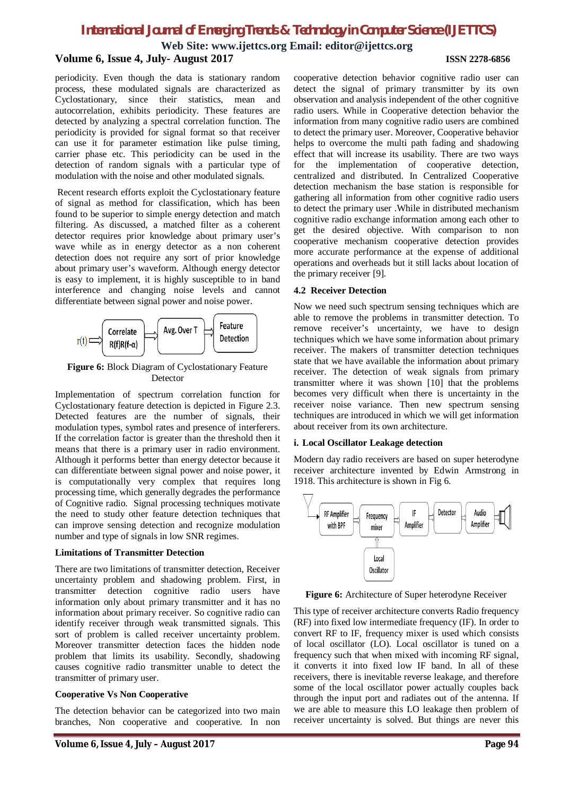**Web Site: www.ijettcs.org Email: editor@ijettcs.org Volume 6, Issue 4, July- August 2017 ISSN 2278-6856**

periodicity. Even though the data is stationary random process, these modulated signals are characterized as Cyclostationary, since their statistics, mean and autocorrelation, exhibits periodicity. These features are detected by analyzing a spectral correlation function. The periodicity is provided for signal format so that receiver can use it for parameter estimation like pulse timing, carrier phase etc. This periodicity can be used in the detection of random signals with a particular type of modulation with the noise and other modulated signals.

Recent research efforts exploit the Cyclostationary feature of signal as method for classification, which has been found to be superior to simple energy detection and match filtering. As discussed, a matched filter as a coherent detector requires prior knowledge about primary user's wave while as in energy detector as a non coherent detection does not require any sort of prior knowledge about primary user's waveform. Although energy detector is easy to implement, it is highly susceptible to in band interference and changing noise levels and cannot differentiate between signal power and noise power.



**Figure 6:** Block Diagram of Cyclostationary Feature Detector

Implementation of spectrum correlation function for Cyclostationary feature detection is depicted in Figure 2.3. Detected features are the number of signals, their modulation types, symbol rates and presence of interferers. If the correlation factor is greater than the threshold then it means that there is a primary user in radio environment. Although it performs better than energy detector because it can differentiate between signal power and noise power, it is computationally very complex that requires long processing time, which generally degrades the performance of Cognitive radio. Signal processing techniques motivate the need to study other feature detection techniques that can improve sensing detection and recognize modulation number and type of signals in low SNR regimes.

#### **Limitations of Transmitter Detection**

There are two limitations of transmitter detection, Receiver uncertainty problem and shadowing problem. First, in transmitter detection cognitive radio users have information only about primary transmitter and it has no information about primary receiver. So cognitive radio can identify receiver through weak transmitted signals. This sort of problem is called receiver uncertainty problem. Moreover transmitter detection faces the hidden node problem that limits its usability. Secondly, shadowing causes cognitive radio transmitter unable to detect the transmitter of primary user.

#### **Cooperative Vs Non Cooperative**

The detection behavior can be categorized into two main branches, Non cooperative and cooperative. In non

cooperative detection behavior cognitive radio user can detect the signal of primary transmitter by its own observation and analysis independent of the other cognitive radio users. While in Cooperative detection behavior the information from many cognitive radio users are combined to detect the primary user. Moreover, Cooperative behavior helps to overcome the multi path fading and shadowing effect that will increase its usability. There are two ways for the implementation of cooperative detection, centralized and distributed. In Centralized Cooperative detection mechanism the base station is responsible for gathering all information from other cognitive radio users to detect the primary user .While in distributed mechanism cognitive radio exchange information among each other to get the desired objective. With comparison to non cooperative mechanism cooperative detection provides more accurate performance at the expense of additional operations and overheads but it still lacks about location of the primary receiver [9].

#### **4.2 Receiver Detection**

Now we need such spectrum sensing techniques which are able to remove the problems in transmitter detection. To remove receiver's uncertainty, we have to design techniques which we have some information about primary receiver. The makers of transmitter detection techniques state that we have available the information about primary receiver. The detection of weak signals from primary transmitter where it was shown [10] that the problems becomes very difficult when there is uncertainty in the receiver noise variance. Then new spectrum sensing techniques are introduced in which we will get information about receiver from its own architecture.

#### **i. Local Oscillator Leakage detection**

Modern day radio receivers are based on super heterodyne receiver architecture invented by Edwin Armstrong in 1918. This architecture is shown in Fig 6.



**Figure 6:** Architecture of Super heterodyne Receiver

This type of receiver architecture converts Radio frequency (RF) into fixed low intermediate frequency (IF). In order to convert RF to IF, frequency mixer is used which consists of local oscillator (LO). Local oscillator is tuned on a frequency such that when mixed with incoming RF signal, it converts it into fixed low IF band. In all of these receivers, there is inevitable reverse leakage, and therefore some of the local oscillator power actually couples back through the input port and radiates out of the antenna. If we are able to measure this LO leakage then problem of receiver uncertainty is solved. But things are never this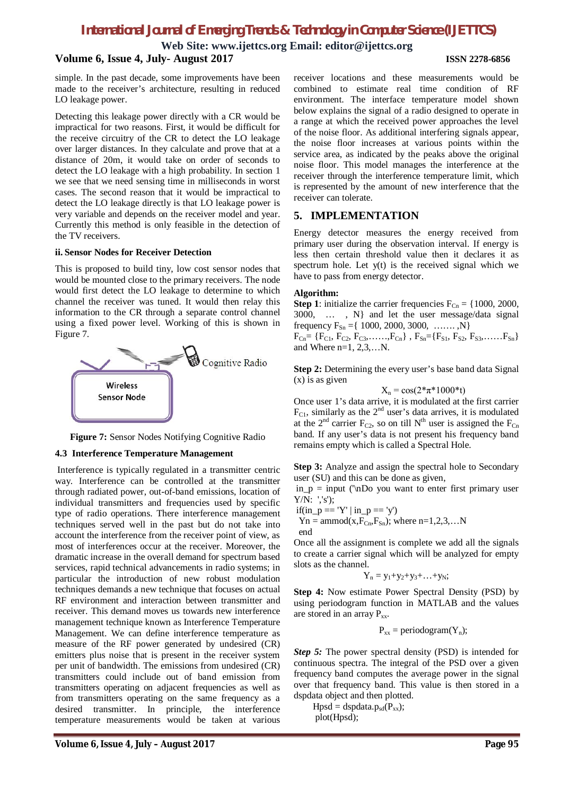**Web Site: www.ijettcs.org Email: editor@ijettcs.org**

# **Volume 6, Issue 4, July- August 2017 ISSN 2278-6856**

simple. In the past decade, some improvements have been made to the receiver's architecture, resulting in reduced LO leakage power.

Detecting this leakage power directly with a CR would be impractical for two reasons. First, it would be difficult for the receive circuitry of the CR to detect the LO leakage over larger distances. In they calculate and prove that at a distance of 20m, it would take on order of seconds to detect the LO leakage with a high probability. In section 1 we see that we need sensing time in milliseconds in worst cases. The second reason that it would be impractical to detect the LO leakage directly is that LO leakage power is very variable and depends on the receiver model and year. Currently this method is only feasible in the detection of the TV receivers.

#### **ii. Sensor Nodes for Receiver Detection**

This is proposed to build tiny, low cost sensor nodes that would be mounted close to the primary receivers. The node would first detect the LO leakage to determine to which channel the receiver was tuned. It would then relay this information to the CR through a separate control channel using a fixed power level. Working of this is shown in Figure 7.



**Figure 7:** Sensor Nodes Notifying Cognitive Radio

#### **4.3 Interference Temperature Management**

Interference is typically regulated in a transmitter centric way. Interference can be controlled at the transmitter through radiated power, out-of-band emissions, location of individual transmitters and frequencies used by specific type of radio operations. There interference management techniques served well in the past but do not take into account the interference from the receiver point of view, as most of interferences occur at the receiver. Moreover, the dramatic increase in the overall demand for spectrum based services, rapid technical advancements in radio systems; in particular the introduction of new robust modulation techniques demands a new technique that focuses on actual RF environment and interaction between transmitter and receiver. This demand moves us towards new interference management technique known as Interference Temperature Management. We can define interference temperature as measure of the RF power generated by undesired (CR) emitters plus noise that is present in the receiver system per unit of bandwidth. The emissions from undesired (CR) transmitters could include out of band emission from transmitters operating on adjacent frequencies as well as from transmitters operating on the same frequency as a desired transmitter. In principle, the interference temperature measurements would be taken at various

receiver locations and these measurements would be combined to estimate real time condition of RF environment. The interface temperature model shown below explains the signal of a radio designed to operate in a range at which the received power approaches the level of the noise floor. As additional interfering signals appear, the noise floor increases at various points within the service area, as indicated by the peaks above the original noise floor. This model manages the interference at the receiver through the interference temperature limit, which is represented by the amount of new interference that the receiver can tolerate.

### **5. IMPLEMENTATION**

Energy detector measures the energy received from primary user during the observation interval. If energy is less then certain threshold value then it declares it as spectrum hole. Let y(t) is the received signal which we have to pass from energy detector.

#### **Algorithm:**

**Step 1**: initialize the carrier frequencies  $F_{Cn} = \{1000, 2000, \dots\}$ 3000, … , N} and let the user message/data signal frequency  $F_{Sn} = \{ 1000, 2000, 3000, \ldots, N \}$  $F_{Cn} = \{F_{C1}, F_{C2}, F_{C3}, \ldots, F_{Cn}\}, F_{Sn} = \{F_{S1}, F_{S2}, F_{S3}, \ldots, F_{Sn}\}\$ and Where  $n=1, 2, 3, \ldots$ .

**Step 2:** Determining the every user's base band data Signal (x) is as given

$$
X_n = cos(2*\pi*1000* t)
$$

Once user 1's data arrive, it is modulated at the first carrier  $F_{C1}$ , similarly as the  $2<sup>nd</sup>$  user's data arrives, it is modulated at the  $2<sup>nd</sup>$  carrier F<sub>C2</sub>, so on till N<sup>th</sup> user is assigned the F<sub>Cn</sub> band. If any user's data is not present his frequency band remains empty which is called a Spectral Hole.

**Step 3:** Analyze and assign the spectral hole to Secondary user (SU) and this can be done as given,

 $in_p = input$  ('\nDo you want to enter first primary user Y/N: ','s');

$$
if(in\_p == 'Y' | in\_p == 'y')
$$

 $Yn = \text{ammod}(x, F_{Cn}, F_{Sn})$ ; where  $n=1,2,3,...N$ 

end

Once all the assignment is complete we add all the signals to create a carrier signal which will be analyzed for empty slots as the channel.

$$
Y_n=y_1\hskip-3pt+y_2\hskip-3pt+y_3\hskip-3pt+\hskip-3pt\ldots\hskip-3pt+y_N;
$$

**Step 4:** Now estimate Power Spectral Density (PSD) by using periodogram function in MATLAB and the values are stored in an array  $P_{xx}$ .

 $P_{xx}$  = periodogram(Y<sub>n</sub>);

*Step 5:* The power spectral density (PSD) is intended for continuous spectra. The integral of the PSD over a given frequency band computes the average power in the signal over that frequency band. This value is then stored in a dspdata object and then plotted.

 $Hpsd = dspdata.p_{sd}(P_{xx});$ plot(Hpsd);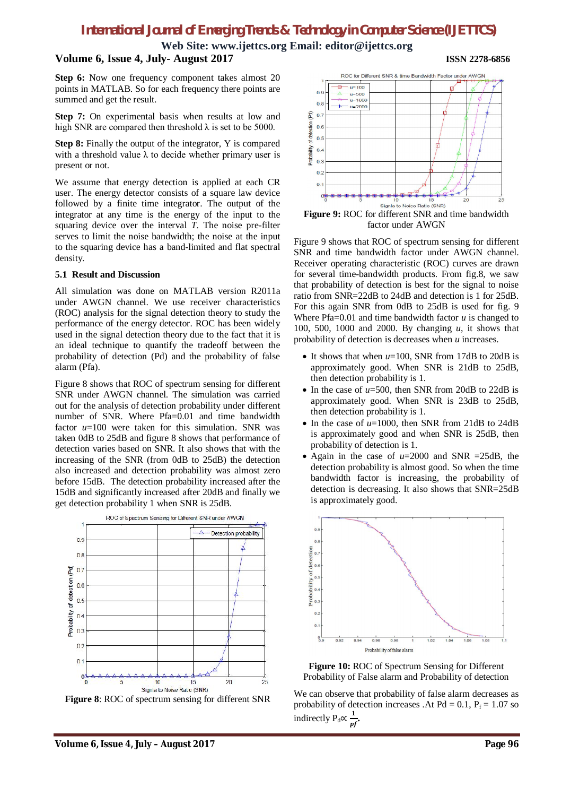**Web Site: www.ijettcs.org Email: editor@ijettcs.org**

# **Volume 6, Issue 4, July- August 2017 ISSN 2278-6856**

Step 6: Now one frequency component takes almost 20 points in MATLAB. So for each frequency there points are summed and get the result.

**Step 7:** On experimental basis when results at low and high SNR are compared then threshold  $\lambda$  is set to be 5000.

**Step 8:** Finally the output of the integrator, Y is compared with a threshold value  $\lambda$  to decide whether primary user is present or not.

We assume that energy detection is applied at each CR user. The energy detector consists of a square law device followed by a finite time integrator. The output of the integrator at any time is the energy of the input to the squaring device over the interval *T*. The noise pre-filter serves to limit the noise bandwidth; the noise at the input to the squaring device has a band-limited and flat spectral density.

#### **5.1 Result and Discussion**

All simulation was done on MATLAB version R2011a under AWGN channel. We use receiver characteristics (ROC) analysis for the signal detection theory to study the performance of the energy detector. ROC has been widely used in the signal detection theory due to the fact that it is an ideal technique to quantify the tradeoff between the probability of detection (Pd) and the probability of false alarm (Pfa).

Figure 8 shows that ROC of spectrum sensing for different SNR under AWGN channel. The simulation was carried out for the analysis of detection probability under different number of SNR. Where Pfa=0.01 and time bandwidth factor  $u=100$  were taken for this simulation. SNR was taken 0dB to 25dB and figure 8 shows that performance of detection varies based on SNR. It also shows that with the increasing of the SNR (from 0dB to 25dB) the detection also increased and detection probability was almost zero before 15dB. The detection probability increased after the 15dB and significantly increased after 20dB and finally we get detection probability 1 when SNR is 25dB.



**Figure 8**: ROC of spectrum sensing for different SNR



**Figure 9:** ROC for different SNR and time bandwidth factor under AWGN

Figure 9 shows that ROC of spectrum sensing for different SNR and time bandwidth factor under AWGN channel. Receiver operating characteristic (ROC) curves are drawn for several time-bandwidth products. From fig.8, we saw that probability of detection is best for the signal to noise ratio from SNR=22dB to 24dB and detection is 1 for 25dB. For this again SNR from 0dB to 25dB is used for fig. 9 Where  $Pfa=0.01$  and time bandwidth factor  $u$  is changed to 100, 500, 1000 and 2000. By changing *u*, it shows that probability of detection is decreases when *u* increases.

- $\bullet$  It shows that when  $u=100$ , SNR from 17dB to 20dB is approximately good. When SNR is 21dB to 25dB, then detection probability is 1.
- $\bullet$  In the case of  $u=500$ , then SNR from 20dB to 22dB is approximately good. When SNR is 23dB to 25dB, then detection probability is 1.
- $\bullet$  In the case of  $u=1000$ , then SNR from 21dB to 24dB is approximately good and when SNR is 25dB, then probability of detection is 1.
- Again in the case of  $u=2000$  and SNR  $=25dB$ , the detection probability is almost good. So when the time bandwidth factor is increasing, the probability of detection is decreasing. It also shows that SNR=25dB is approximately good.





We can observe that probability of false alarm decreases as probability of detection increases . At Pd =  $0.1$ , P<sub>f</sub> =  $1.07$  so indirectly P<sub>d</sub>∝  $\frac{1}{n!}$  $\frac{1}{pf}$ .